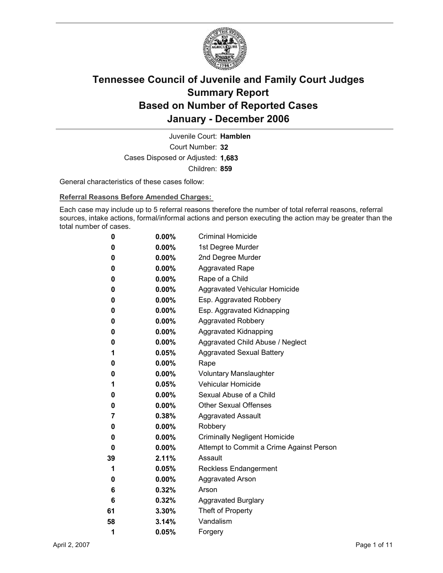

Court Number: **32** Juvenile Court: **Hamblen** Cases Disposed or Adjusted: **1,683** Children: **859**

General characteristics of these cases follow:

**Referral Reasons Before Amended Charges:** 

Each case may include up to 5 referral reasons therefore the number of total referral reasons, referral sources, intake actions, formal/informal actions and person executing the action may be greater than the total number of cases.

| 0  | $0.00\%$ | <b>Criminal Homicide</b>                 |
|----|----------|------------------------------------------|
| 0  | $0.00\%$ | 1st Degree Murder                        |
| 0  | $0.00\%$ | 2nd Degree Murder                        |
| 0  | $0.00\%$ | <b>Aggravated Rape</b>                   |
| 0  | $0.00\%$ | Rape of a Child                          |
| 0  | $0.00\%$ | Aggravated Vehicular Homicide            |
| 0  | $0.00\%$ | Esp. Aggravated Robbery                  |
| 0  | $0.00\%$ | Esp. Aggravated Kidnapping               |
| 0  | $0.00\%$ | <b>Aggravated Robbery</b>                |
| 0  | $0.00\%$ | <b>Aggravated Kidnapping</b>             |
| 0  | $0.00\%$ | Aggravated Child Abuse / Neglect         |
| 1  | 0.05%    | <b>Aggravated Sexual Battery</b>         |
| 0  | $0.00\%$ | Rape                                     |
| 0  | $0.00\%$ | <b>Voluntary Manslaughter</b>            |
| 1  | 0.05%    | <b>Vehicular Homicide</b>                |
| 0  | $0.00\%$ | Sexual Abuse of a Child                  |
| 0  | $0.00\%$ | <b>Other Sexual Offenses</b>             |
| 7  | $0.38\%$ | <b>Aggravated Assault</b>                |
| 0  | $0.00\%$ | Robbery                                  |
| 0  | $0.00\%$ | <b>Criminally Negligent Homicide</b>     |
| 0  | $0.00\%$ | Attempt to Commit a Crime Against Person |
| 39 | $2.11\%$ | Assault                                  |
| 1  | 0.05%    | <b>Reckless Endangerment</b>             |
| 0  | $0.00\%$ | <b>Aggravated Arson</b>                  |
| 6  | 0.32%    | Arson                                    |
| 6  | 0.32%    | <b>Aggravated Burglary</b>               |
| 61 | $3.30\%$ | Theft of Property                        |
| 58 | 3.14%    | Vandalism                                |
| 1  | 0.05%    | Forgery                                  |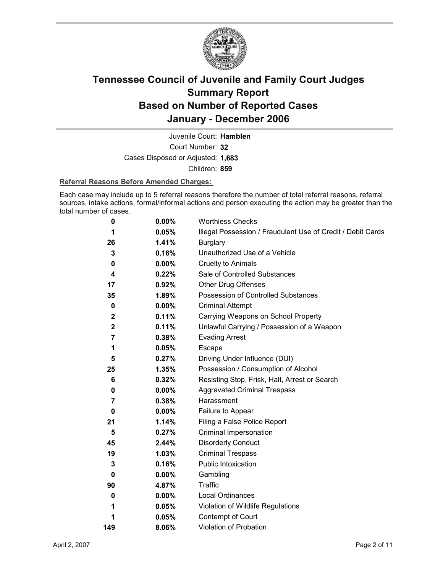

Court Number: **32** Juvenile Court: **Hamblen** Cases Disposed or Adjusted: **1,683** Children: **859**

#### **Referral Reasons Before Amended Charges:**

Each case may include up to 5 referral reasons therefore the number of total referral reasons, referral sources, intake actions, formal/informal actions and person executing the action may be greater than the total number of cases.

| 0              | 0.00%    | <b>Worthless Checks</b>                                     |
|----------------|----------|-------------------------------------------------------------|
| 1              | 0.05%    | Illegal Possession / Fraudulent Use of Credit / Debit Cards |
| 26             | 1.41%    | <b>Burglary</b>                                             |
| 3              | 0.16%    | Unauthorized Use of a Vehicle                               |
| 0              | $0.00\%$ | <b>Cruelty to Animals</b>                                   |
| 4              | $0.22\%$ | Sale of Controlled Substances                               |
| 17             | 0.92%    | <b>Other Drug Offenses</b>                                  |
| 35             | 1.89%    | Possession of Controlled Substances                         |
| 0              | $0.00\%$ | <b>Criminal Attempt</b>                                     |
| $\mathbf{2}$   | 0.11%    | Carrying Weapons on School Property                         |
| $\mathbf 2$    | 0.11%    | Unlawful Carrying / Possession of a Weapon                  |
| 7              | 0.38%    | <b>Evading Arrest</b>                                       |
| 1              | 0.05%    | Escape                                                      |
| 5              | 0.27%    | Driving Under Influence (DUI)                               |
| 25             | 1.35%    | Possession / Consumption of Alcohol                         |
| 6              | 0.32%    | Resisting Stop, Frisk, Halt, Arrest or Search               |
| 0              | $0.00\%$ | <b>Aggravated Criminal Trespass</b>                         |
| $\overline{7}$ | 0.38%    | Harassment                                                  |
| 0              | $0.00\%$ | Failure to Appear                                           |
| 21             | 1.14%    | Filing a False Police Report                                |
| 5              | 0.27%    | Criminal Impersonation                                      |
| 45             | 2.44%    | <b>Disorderly Conduct</b>                                   |
| 19             | 1.03%    | <b>Criminal Trespass</b>                                    |
| 3              | 0.16%    | Public Intoxication                                         |
| 0              | $0.00\%$ | Gambling                                                    |
| 90             | 4.87%    | <b>Traffic</b>                                              |
| 0              | $0.00\%$ | <b>Local Ordinances</b>                                     |
| 1              | 0.05%    | Violation of Wildlife Regulations                           |
| 1              | 0.05%    | Contempt of Court                                           |
| 149            | 8.06%    | Violation of Probation                                      |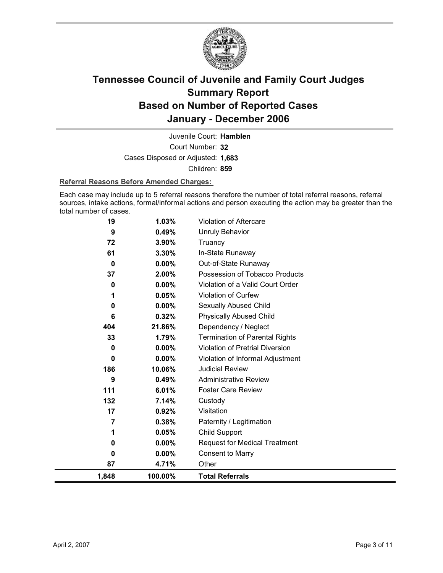

Court Number: **32** Juvenile Court: **Hamblen** Cases Disposed or Adjusted: **1,683** Children: **859**

#### **Referral Reasons Before Amended Charges:**

Each case may include up to 5 referral reasons therefore the number of total referral reasons, referral sources, intake actions, formal/informal actions and person executing the action may be greater than the total number of cases.

| 87       | 4.71%             | Other                                    |
|----------|-------------------|------------------------------------------|
| 0        | $0.00\%$          | <b>Consent to Marry</b>                  |
| $\bf{0}$ | $0.00\%$          | <b>Request for Medical Treatment</b>     |
| 1        | 0.05%             | Child Support                            |
| 7        | 0.38%             | Paternity / Legitimation                 |
| 17       | 0.92%             | Visitation                               |
| 132      | 7.14%             | Custody                                  |
| 111      | 6.01%             | <b>Foster Care Review</b>                |
| 9        | 0.49%             | <b>Administrative Review</b>             |
| 186      | 10.06%            | <b>Judicial Review</b>                   |
| $\bf{0}$ | 0.00%             | Violation of Informal Adjustment         |
| $\bf{0}$ | 0.00%             | <b>Violation of Pretrial Diversion</b>   |
| 33       | 1.79%             | <b>Termination of Parental Rights</b>    |
| 404      | 21.86%            | Dependency / Neglect                     |
| 6        | 0.32%             | <b>Physically Abused Child</b>           |
| $\bf{0}$ | $0.00\%$          | Sexually Abused Child                    |
| 1        | 0.05%             | Violation of Curfew                      |
| $\bf{0}$ | 0.00%             | Violation of a Valid Court Order         |
| 37       | 2.00%             | Possession of Tobacco Products           |
| 0        | 3.30%<br>$0.00\%$ | In-State Runaway<br>Out-of-State Runaway |
| 72<br>61 | 3.90%             | Truancy                                  |
| 9        | 0.49%             | <b>Unruly Behavior</b>                   |
| 19       | 1.03%             | <b>Violation of Aftercare</b>            |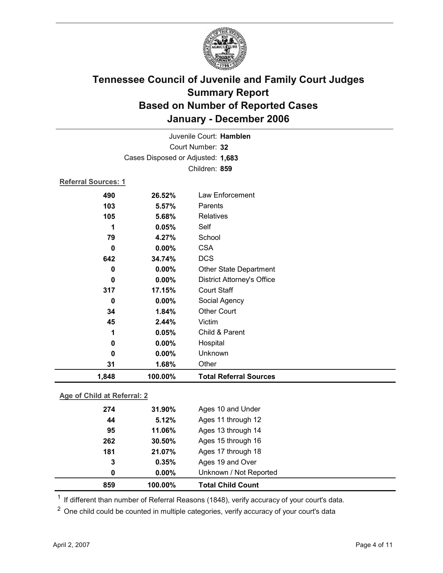

|                             |         | Juvenile Court: Hamblen           |  |
|-----------------------------|---------|-----------------------------------|--|
| Court Number: 32            |         |                                   |  |
|                             |         | Cases Disposed or Adjusted: 1,683 |  |
|                             |         | Children: 859                     |  |
| <b>Referral Sources: 1</b>  |         |                                   |  |
| 490                         | 26.52%  | Law Enforcement                   |  |
| 103                         | 5.57%   | Parents                           |  |
| 105                         | 5.68%   | Relatives                         |  |
| 1                           | 0.05%   | Self                              |  |
| 79                          | 4.27%   | School                            |  |
| $\bf{0}$                    | 0.00%   | <b>CSA</b>                        |  |
| 642                         | 34.74%  | <b>DCS</b>                        |  |
| 0                           | 0.00%   | <b>Other State Department</b>     |  |
| $\bf{0}$                    | 0.00%   | <b>District Attorney's Office</b> |  |
| 317                         | 17.15%  | <b>Court Staff</b>                |  |
| 0                           | 0.00%   | Social Agency                     |  |
| 34                          | 1.84%   | <b>Other Court</b>                |  |
| 45                          | 2.44%   | Victim                            |  |
| 1                           | 0.05%   | Child & Parent                    |  |
| 0                           | 0.00%   | Hospital                          |  |
| $\bf{0}$                    | 0.00%   | Unknown                           |  |
| 31                          | 1.68%   | Other                             |  |
| 1,848                       | 100.00% | <b>Total Referral Sources</b>     |  |
| Age of Child at Referral: 2 |         |                                   |  |

### **Age of Child at Referral: 2**

| 859 | 100.00%  | <b>Total Child Count</b> |
|-----|----------|--------------------------|
| 0   | $0.00\%$ | Unknown / Not Reported   |
| 3   | 0.35%    | Ages 19 and Over         |
| 181 | 21.07%   | Ages 17 through 18       |
| 262 | 30.50%   | Ages 15 through 16       |
| 95  | 11.06%   | Ages 13 through 14       |
| 44  | 5.12%    | Ages 11 through 12       |
| 274 | 31.90%   | Ages 10 and Under        |
|     |          |                          |

 $1$  If different than number of Referral Reasons (1848), verify accuracy of your court's data.

<sup>2</sup> One child could be counted in multiple categories, verify accuracy of your court's data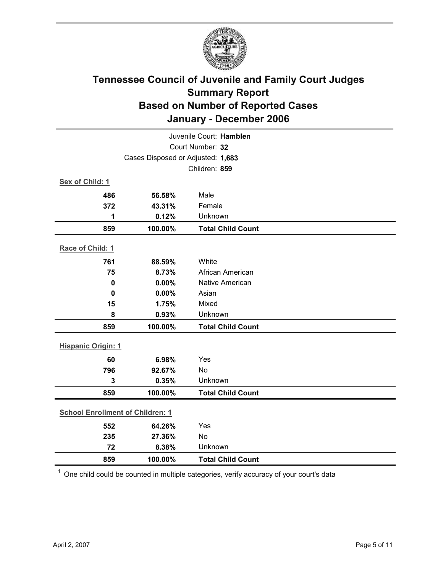

|                                         | Juvenile Court: Hamblen |                          |  |  |
|-----------------------------------------|-------------------------|--------------------------|--|--|
|                                         | Court Number: 32        |                          |  |  |
| Cases Disposed or Adjusted: 1,683       |                         |                          |  |  |
|                                         |                         | Children: 859            |  |  |
| Sex of Child: 1                         |                         |                          |  |  |
| 486                                     | 56.58%                  | Male                     |  |  |
| 372                                     | 43.31%                  | Female                   |  |  |
| 1                                       | 0.12%                   | Unknown                  |  |  |
| 859                                     | 100.00%                 | <b>Total Child Count</b> |  |  |
| Race of Child: 1                        |                         |                          |  |  |
| 761                                     | 88.59%                  | White                    |  |  |
| 75                                      | 8.73%                   | African American         |  |  |
| $\mathbf 0$                             | 0.00%                   | Native American          |  |  |
| $\mathbf 0$                             | 0.00%                   | Asian                    |  |  |
| 15                                      | 1.75%                   | Mixed                    |  |  |
| 8                                       | 0.93%                   | Unknown                  |  |  |
| 859                                     | 100.00%                 | <b>Total Child Count</b> |  |  |
| <b>Hispanic Origin: 1</b>               |                         |                          |  |  |
| 60                                      | 6.98%                   | Yes                      |  |  |
| 796                                     | 92.67%                  | <b>No</b>                |  |  |
| 3                                       | 0.35%                   | Unknown                  |  |  |
| 859                                     | 100.00%                 | <b>Total Child Count</b> |  |  |
| <b>School Enrollment of Children: 1</b> |                         |                          |  |  |
| 552                                     | 64.26%                  | Yes                      |  |  |
| 235                                     | 27.36%                  | No                       |  |  |
| 72                                      | 8.38%                   | Unknown                  |  |  |
| 859                                     | 100.00%                 | <b>Total Child Count</b> |  |  |

 $1$  One child could be counted in multiple categories, verify accuracy of your court's data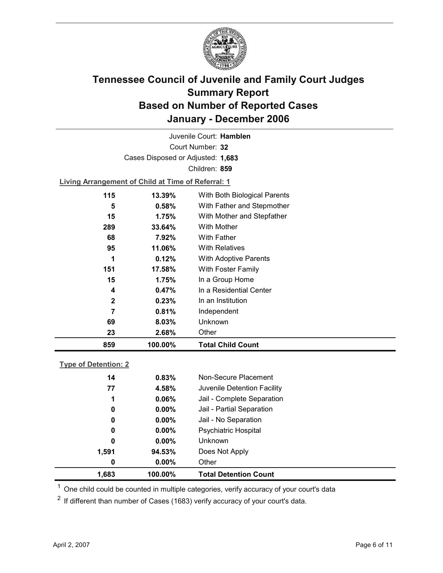

Court Number: **32** Juvenile Court: **Hamblen** Cases Disposed or Adjusted: **1,683** Children: **859**

**Living Arrangement of Child at Time of Referral: 1**

| 859          | 100.00%   | <b>Total Child Count</b>     |
|--------------|-----------|------------------------------|
| 23           | 2.68%     | Other                        |
| 69           | 8.03%     | Unknown                      |
| 7            | 0.81%     | Independent                  |
| $\mathbf{2}$ | 0.23%     | In an Institution            |
| 4            | $0.47\%$  | In a Residential Center      |
| 15           | 1.75%     | In a Group Home              |
| 151          | 17.58%    | With Foster Family           |
| 1            | 0.12%     | <b>With Adoptive Parents</b> |
| 95           | 11.06%    | <b>With Relatives</b>        |
| 68           | 7.92%     | With Father                  |
| 289          | 33.64%    | With Mother                  |
| 15           | 1.75%     | With Mother and Stepfather   |
| 5            | 0.58%     | With Father and Stepmother   |
| 115          | $13.39\%$ | With Both Biological Parents |
|              |           |                              |

### **Type of Detention: 2**

| 1,683 | 100.00%  | <b>Total Detention Count</b> |  |
|-------|----------|------------------------------|--|
| 0     | $0.00\%$ | Other                        |  |
| 1,591 | 94.53%   | Does Not Apply               |  |
| 0     | $0.00\%$ | <b>Unknown</b>               |  |
| 0     | $0.00\%$ | <b>Psychiatric Hospital</b>  |  |
| 0     | $0.00\%$ | Jail - No Separation         |  |
| 0     | $0.00\%$ | Jail - Partial Separation    |  |
| 1     | 0.06%    | Jail - Complete Separation   |  |
| 77    | 4.58%    | Juvenile Detention Facility  |  |
| 14    | 0.83%    | Non-Secure Placement         |  |
|       |          |                              |  |

 $<sup>1</sup>$  One child could be counted in multiple categories, verify accuracy of your court's data</sup>

 $2$  If different than number of Cases (1683) verify accuracy of your court's data.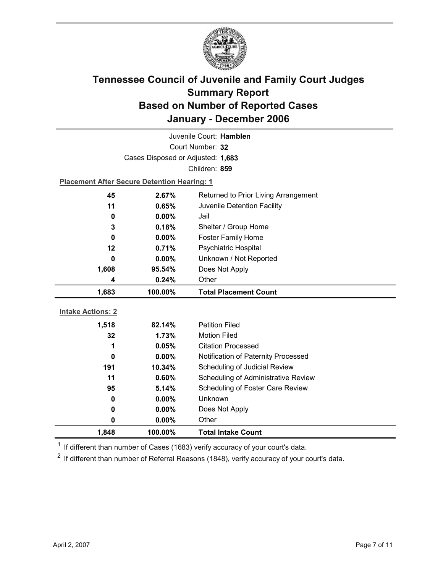

|                          |                                                    | Juvenile Court: Hamblen              |
|--------------------------|----------------------------------------------------|--------------------------------------|
| Court Number: 32         |                                                    |                                      |
|                          | Cases Disposed or Adjusted: 1,683                  |                                      |
|                          |                                                    | Children: 859                        |
|                          | <b>Placement After Secure Detention Hearing: 1</b> |                                      |
| 45                       | 2.67%                                              | Returned to Prior Living Arrangement |
| 11                       | 0.65%                                              | Juvenile Detention Facility          |
| 0                        | $0.00\%$                                           | Jail                                 |
| 3                        | 0.18%                                              | Shelter / Group Home                 |
| 0                        | $0.00\%$                                           | <b>Foster Family Home</b>            |
| 12                       | 0.71%                                              | <b>Psychiatric Hospital</b>          |
| 0                        | $0.00\%$                                           | Unknown / Not Reported               |
| 1,608                    | 95.54%                                             | Does Not Apply                       |
| 4                        | 0.24%                                              | Other                                |
|                          |                                                    |                                      |
| 1,683                    | 100.00%                                            | <b>Total Placement Count</b>         |
|                          |                                                    |                                      |
| <b>Intake Actions: 2</b> |                                                    |                                      |
| 1,518                    | 82.14%                                             | <b>Petition Filed</b>                |
| 32                       | 1.73%                                              | <b>Motion Filed</b>                  |
| 1                        | 0.05%                                              | <b>Citation Processed</b>            |
| 0                        | $0.00\%$                                           | Notification of Paternity Processed  |
| 191                      | 10.34%                                             | Scheduling of Judicial Review        |
| 11                       | 0.60%                                              | Scheduling of Administrative Review  |
| 95                       | 5.14%                                              | Scheduling of Foster Care Review     |
| 0                        | $0.00\%$                                           | <b>Unknown</b>                       |
| 0                        | $0.00\%$                                           | Does Not Apply                       |
| 0<br>1,848               | $0.00\%$<br>100.00%                                | Other                                |

 $1$  If different than number of Cases (1683) verify accuracy of your court's data.

 $2$  If different than number of Referral Reasons (1848), verify accuracy of your court's data.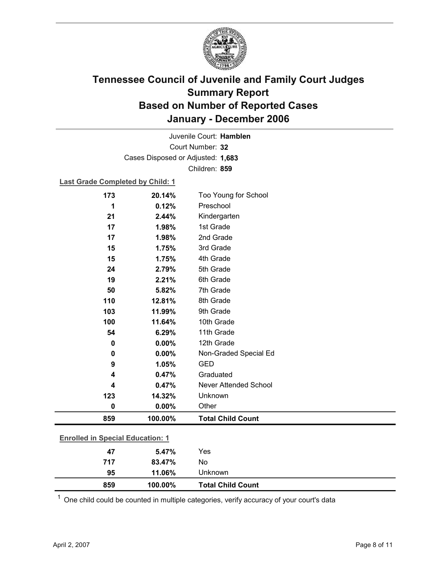

Court Number: **32** Juvenile Court: **Hamblen** Cases Disposed or Adjusted: **1,683** Children: **859**

### **Last Grade Completed by Child: 1**

| 5th Grade<br>2.79%<br>24<br>19<br>6th Grade<br>2.21%<br>7th Grade<br>50<br>5.82%<br>110<br>8th Grade<br>12.81%<br>9th Grade<br>103<br>11.99%<br>100<br>10th Grade<br>11.64%<br>11th Grade<br>54<br>6.29%<br>12th Grade<br>0.00%<br>$\pmb{0}$<br>0.00%<br>Non-Graded Special Ed<br>0<br><b>GED</b><br>9<br>1.05%<br>0.47%<br>Graduated<br>4<br>Never Attended School<br>0.47%<br>4<br>Unknown<br>123<br>14.32% | 15  | 1.75%  | 3rd Grade |
|---------------------------------------------------------------------------------------------------------------------------------------------------------------------------------------------------------------------------------------------------------------------------------------------------------------------------------------------------------------------------------------------------------------|-----|--------|-----------|
|                                                                                                                                                                                                                                                                                                                                                                                                               | 15  | 1.75%  | 4th Grade |
|                                                                                                                                                                                                                                                                                                                                                                                                               |     |        |           |
|                                                                                                                                                                                                                                                                                                                                                                                                               |     |        |           |
|                                                                                                                                                                                                                                                                                                                                                                                                               |     |        |           |
|                                                                                                                                                                                                                                                                                                                                                                                                               |     |        |           |
|                                                                                                                                                                                                                                                                                                                                                                                                               |     |        |           |
|                                                                                                                                                                                                                                                                                                                                                                                                               |     |        |           |
|                                                                                                                                                                                                                                                                                                                                                                                                               |     |        |           |
|                                                                                                                                                                                                                                                                                                                                                                                                               |     |        |           |
|                                                                                                                                                                                                                                                                                                                                                                                                               |     |        |           |
|                                                                                                                                                                                                                                                                                                                                                                                                               |     |        |           |
|                                                                                                                                                                                                                                                                                                                                                                                                               |     |        |           |
|                                                                                                                                                                                                                                                                                                                                                                                                               |     |        |           |
|                                                                                                                                                                                                                                                                                                                                                                                                               |     |        |           |
|                                                                                                                                                                                                                                                                                                                                                                                                               | 0   | 0.00%  | Other     |
| <b>Total Child Count</b><br>859<br>100.00%                                                                                                                                                                                                                                                                                                                                                                    |     |        |           |
|                                                                                                                                                                                                                                                                                                                                                                                                               |     |        |           |
| <b>Enrolled in Special Education: 1</b>                                                                                                                                                                                                                                                                                                                                                                       |     |        |           |
| 47<br>Yes<br>5.47%                                                                                                                                                                                                                                                                                                                                                                                            | 717 | 83.47% | No        |

 $1$  One child could be counted in multiple categories, verify accuracy of your court's data

**95 11.06%** Unknown

**859 100.00% Total Child Count**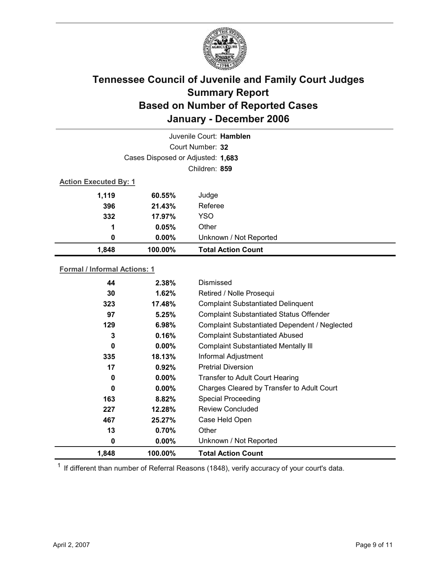

|                                   |                  | Juvenile Court: Hamblen   |  |  |
|-----------------------------------|------------------|---------------------------|--|--|
|                                   | Court Number: 32 |                           |  |  |
| Cases Disposed or Adjusted: 1,683 |                  |                           |  |  |
|                                   |                  | Children: 859             |  |  |
| <b>Action Executed By: 1</b>      |                  |                           |  |  |
| 1,119                             | 60.55%           | Judge                     |  |  |
| 396                               | 21.43%           | Referee                   |  |  |
| 332                               | 17.97%           | <b>YSO</b>                |  |  |
| 1                                 | 0.05%            | Other                     |  |  |
| 0                                 | $0.00\%$         | Unknown / Not Reported    |  |  |
| 1,848                             | 100.00%          | <b>Total Action Count</b> |  |  |

### **Formal / Informal Actions: 1**

| 44    | 2.38%    | Dismissed                                      |
|-------|----------|------------------------------------------------|
| 30    | $1.62\%$ | Retired / Nolle Prosequi                       |
| 323   | 17.48%   | <b>Complaint Substantiated Delinquent</b>      |
| 97    | 5.25%    | <b>Complaint Substantiated Status Offender</b> |
| 129   | 6.98%    | Complaint Substantiated Dependent / Neglected  |
| 3     | 0.16%    | <b>Complaint Substantiated Abused</b>          |
| 0     | $0.00\%$ | <b>Complaint Substantiated Mentally III</b>    |
| 335   | 18.13%   | Informal Adjustment                            |
| 17    | 0.92%    | <b>Pretrial Diversion</b>                      |
| 0     | $0.00\%$ | <b>Transfer to Adult Court Hearing</b>         |
| 0     | $0.00\%$ | Charges Cleared by Transfer to Adult Court     |
| 163   | 8.82%    | <b>Special Proceeding</b>                      |
| 227   | 12.28%   | <b>Review Concluded</b>                        |
| 467   | 25.27%   | Case Held Open                                 |
| 13    | 0.70%    | Other                                          |
| 0     | $0.00\%$ | Unknown / Not Reported                         |
| 1,848 | 100.00%  | <b>Total Action Count</b>                      |

 $1$  If different than number of Referral Reasons (1848), verify accuracy of your court's data.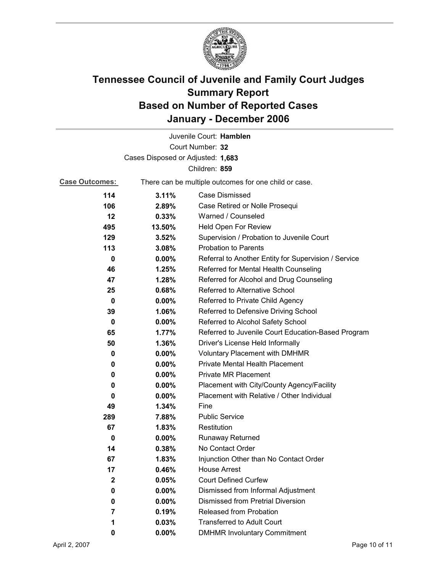

|                       |                                   | Juvenile Court: Hamblen                               |
|-----------------------|-----------------------------------|-------------------------------------------------------|
|                       |                                   | Court Number: 32                                      |
|                       | Cases Disposed or Adjusted: 1,683 |                                                       |
|                       |                                   | Children: 859                                         |
| <b>Case Outcomes:</b> |                                   | There can be multiple outcomes for one child or case. |
| 114                   | 3.11%                             | Case Dismissed                                        |
| 106                   | 2.89%                             | Case Retired or Nolle Prosequi                        |
| $12 \,$               | 0.33%                             | Warned / Counseled                                    |
| 495                   | 13.50%                            | Held Open For Review                                  |
| 129                   | 3.52%                             | Supervision / Probation to Juvenile Court             |
| 113                   | 3.08%                             | <b>Probation to Parents</b>                           |
| 0                     | $0.00\%$                          | Referral to Another Entity for Supervision / Service  |
| 46                    | 1.25%                             | Referred for Mental Health Counseling                 |
| 47                    | 1.28%                             | Referred for Alcohol and Drug Counseling              |
| 25                    | 0.68%                             | <b>Referred to Alternative School</b>                 |
| 0                     | $0.00\%$                          | Referred to Private Child Agency                      |
| 39                    | 1.06%                             | Referred to Defensive Driving School                  |
| $\bf{0}$              | $0.00\%$                          | Referred to Alcohol Safety School                     |
| 65                    | 1.77%                             | Referred to Juvenile Court Education-Based Program    |
| 50                    | 1.36%                             | Driver's License Held Informally                      |
| 0                     | $0.00\%$                          | <b>Voluntary Placement with DMHMR</b>                 |
| 0                     | $0.00\%$                          | <b>Private Mental Health Placement</b>                |
| 0                     | $0.00\%$                          | <b>Private MR Placement</b>                           |
| 0                     | $0.00\%$                          | Placement with City/County Agency/Facility            |
| 0                     | $0.00\%$                          | Placement with Relative / Other Individual            |
| 49                    | 1.34%                             | Fine                                                  |
| 289                   | 7.88%                             | <b>Public Service</b>                                 |
| 67                    | 1.83%                             | Restitution                                           |
| 0                     | $0.00\%$                          | <b>Runaway Returned</b>                               |
| 14                    | 0.38%                             | No Contact Order                                      |
| 67                    | 1.83%                             | Injunction Other than No Contact Order                |
| 17                    | 0.46%                             | <b>House Arrest</b>                                   |
| $\mathbf 2$           | 0.05%                             | <b>Court Defined Curfew</b>                           |
| 0                     | 0.00%                             | Dismissed from Informal Adjustment                    |
| 0                     | $0.00\%$                          | <b>Dismissed from Pretrial Diversion</b>              |
| 7                     | 0.19%                             | Released from Probation                               |
| 1                     | 0.03%                             | <b>Transferred to Adult Court</b>                     |
| 0                     | $0.00\%$                          | <b>DMHMR Involuntary Commitment</b>                   |